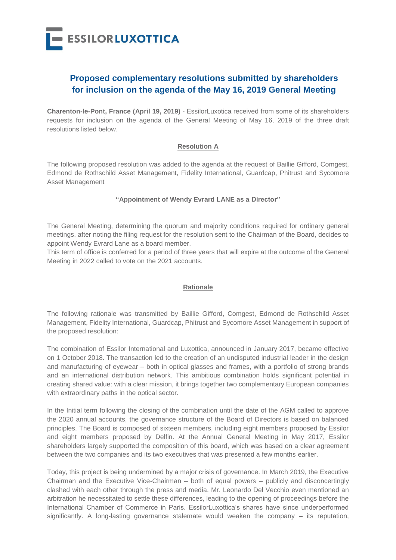

# **Proposed complementary resolutions submitted by shareholders for inclusion on the agenda of the May 16, 2019 General Meeting**

**Charenton-le-Pont, France (April 19, 2019)** - EssilorLuxotica received from some of its shareholders requests for inclusion on the agenda of the General Meeting of May 16, 2019 of the three draft resolutions listed below.

## **Resolution A**

The following proposed resolution was added to the agenda at the request of Baillie Gifford, Comgest, Edmond de Rothschild Asset Management, Fidelity International, Guardcap, Phitrust and Sycomore Asset Management

#### **"Appointment of Wendy Evrard LANE as a Director"**

The General Meeting, determining the quorum and majority conditions required for ordinary general meetings, after noting the filing request for the resolution sent to the Chairman of the Board, decides to appoint Wendy Evrard Lane as a board member.

This term of office is conferred for a period of three years that will expire at the outcome of the General Meeting in 2022 called to vote on the 2021 accounts.

## **Rationale**

The following rationale was transmitted by Baillie Gifford, Comgest, Edmond de Rothschild Asset Management, Fidelity International, Guardcap, Phitrust and Sycomore Asset Management in support of the proposed resolution:

The combination of Essilor International and Luxottica, announced in January 2017, became effective on 1 October 2018. The transaction led to the creation of an undisputed industrial leader in the design and manufacturing of eyewear – both in optical glasses and frames, with a portfolio of strong brands and an international distribution network. This ambitious combination holds significant potential in creating shared value: with a clear mission, it brings together two complementary European companies with extraordinary paths in the optical sector.

In the Initial term following the closing of the combination until the date of the AGM called to approve the 2020 annual accounts, the governance structure of the Board of Directors is based on balanced principles. The Board is composed of sixteen members, including eight members proposed by Essilor and eight members proposed by Delfin. At the Annual General Meeting in May 2017, Essilor shareholders largely supported the composition of this board, which was based on a clear agreement between the two companies and its two executives that was presented a few months earlier.

Today, this project is being undermined by a major crisis of governance. In March 2019, the Executive Chairman and the Executive Vice-Chairman – both of equal powers – publicly and disconcertingly clashed with each other through the press and media. Mr. Leonardo Del Vecchio even mentioned an arbitration he necessitated to settle these differences, leading to the opening of proceedings before the International Chamber of Commerce in Paris. EssilorLuxottica's shares have since underperformed significantly. A long-lasting governance stalemate would weaken the company – its reputation,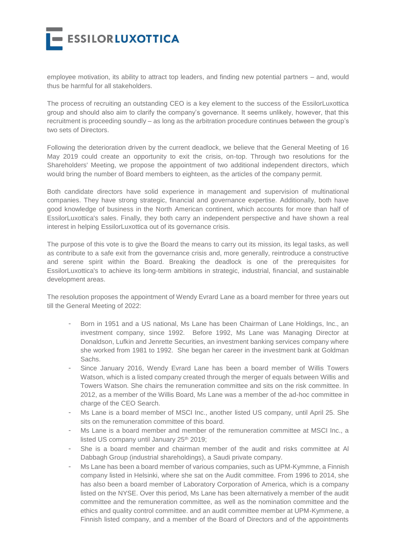

employee motivation, its ability to attract top leaders, and finding new potential partners – and, would thus be harmful for all stakeholders.

The process of recruiting an outstanding CEO is a key element to the success of the EssilorLuxottica group and should also aim to clarify the company's governance. It seems unlikely, however, that this recruitment is proceeding soundly – as long as the arbitration procedure continues between the group's two sets of Directors.

Following the deterioration driven by the current deadlock, we believe that the General Meeting of 16 May 2019 could create an opportunity to exit the crisis, on-top. Through two resolutions for the Shareholders' Meeting, we propose the appointment of two additional independent directors, which would bring the number of Board members to eighteen, as the articles of the company permit.

Both candidate directors have solid experience in management and supervision of multinational companies. They have strong strategic, financial and governance expertise. Additionally, both have good knowledge of business in the North American continent, which accounts for more than half of EssilorLuxottica's sales. Finally, they both carry an independent perspective and have shown a real interest in helping EssilorLuxottica out of its governance crisis.

The purpose of this vote is to give the Board the means to carry out its mission, its legal tasks, as well as contribute to a safe exit from the governance crisis and, more generally, reintroduce a constructive and serene spirit within the Board. Breaking the deadlock is one of the prerequisites for EssilorLuxottica's to achieve its long-term ambitions in strategic, industrial, financial, and sustainable development areas.

The resolution proposes the appointment of Wendy Evrard Lane as a board member for three years out till the General Meeting of 2022:

- Born in 1951 and a US national, Ms Lane has been Chairman of Lane Holdings, Inc., an investment company, since 1992. Before 1992, Ms Lane was Managing Director at Donaldson, Lufkin and Jenrette Securities, an investment banking services company where she worked from 1981 to 1992. She began her career in the investment bank at Goldman Sachs.
- Since January 2016, Wendy Evrard Lane has been a board member of Willis Towers Watson, which is a listed company created through the merger of equals between Willis and Towers Watson. She chairs the remuneration committee and sits on the risk committee. In 2012, as a member of the Willis Board, Ms Lane was a member of the ad-hoc committee in charge of the CEO Search.
- Ms Lane is a board member of MSCI Inc., another listed US company, until April 25. She sits on the remuneration committee of this board.
- Ms Lane is a board member and member of the remuneration committee at MSCI Inc., a listed US company until January 25<sup>th</sup> 2019;
- She is a board member and chairman member of the audit and risks committee at Al Dabbagh Group (industrial shareholdings), a Saudi private company.
- Ms Lane has been a board member of various companies, such as UPM-Kymmne, a Finnish company listed in Helsinki, where she sat on the Audit committee. From 1996 to 2014, she has also been a board member of Laboratory Corporation of America, which is a company listed on the NYSE. Over this period, Ms Lane has been alternatively a member of the audit committee and the remuneration committee, as well as the nomination committee and the ethics and quality control committee. and an audit committee member at UPM-Kymmene, a Finnish listed company, and a member of the Board of Directors and of the appointments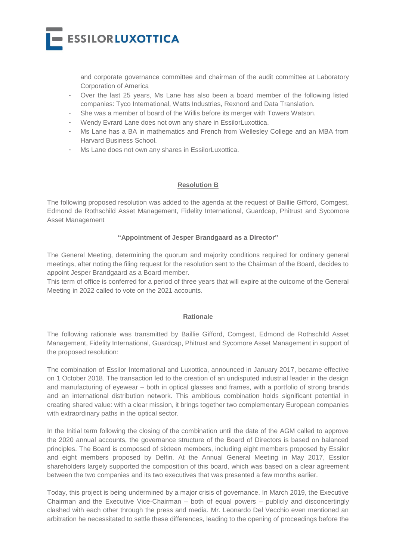

and corporate governance committee and chairman of the audit committee at Laboratory Corporation of America

- Over the last 25 years, Ms Lane has also been a board member of the following listed companies: Tyco International, Watts Industries, Rexnord and Data Translation.
- She was a member of board of the Willis before its merger with Towers Watson.
- Wendy Evrard Lane does not own any share in EssilorLuxottica.
- Ms Lane has a BA in mathematics and French from Wellesley College and an MBA from Harvard Business School.
- Ms Lane does not own any shares in EssilorLuxottica.

#### **Resolution B**

The following proposed resolution was added to the agenda at the request of Baillie Gifford, Comgest, Edmond de Rothschild Asset Management, Fidelity International, Guardcap, Phitrust and Sycomore Asset Management

#### **"Appointment of Jesper Brandgaard as a Director"**

The General Meeting, determining the quorum and majority conditions required for ordinary general meetings, after noting the filing request for the resolution sent to the Chairman of the Board, decides to appoint Jesper Brandgaard as a Board member.

This term of office is conferred for a period of three years that will expire at the outcome of the General Meeting in 2022 called to vote on the 2021 accounts.

#### **Rationale**

The following rationale was transmitted by Baillie Gifford, Comgest, Edmond de Rothschild Asset Management, Fidelity International, Guardcap, Phitrust and Sycomore Asset Management in support of the proposed resolution:

The combination of Essilor International and Luxottica, announced in January 2017, became effective on 1 October 2018. The transaction led to the creation of an undisputed industrial leader in the design and manufacturing of eyewear – both in optical glasses and frames, with a portfolio of strong brands and an international distribution network. This ambitious combination holds significant potential in creating shared value: with a clear mission, it brings together two complementary European companies with extraordinary paths in the optical sector.

In the Initial term following the closing of the combination until the date of the AGM called to approve the 2020 annual accounts, the governance structure of the Board of Directors is based on balanced principles. The Board is composed of sixteen members, including eight members proposed by Essilor and eight members proposed by Delfin. At the Annual General Meeting in May 2017, Essilor shareholders largely supported the composition of this board, which was based on a clear agreement between the two companies and its two executives that was presented a few months earlier.

Today, this project is being undermined by a major crisis of governance. In March 2019, the Executive Chairman and the Executive Vice-Chairman – both of equal powers – publicly and disconcertingly clashed with each other through the press and media. Mr. Leonardo Del Vecchio even mentioned an arbitration he necessitated to settle these differences, leading to the opening of proceedings before the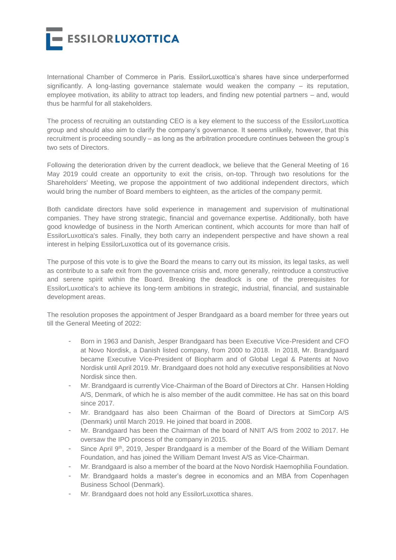**ESSILORLUXOTTICA** 

International Chamber of Commerce in Paris. EssilorLuxottica's shares have since underperformed significantly. A long-lasting governance stalemate would weaken the company – its reputation, employee motivation, its ability to attract top leaders, and finding new potential partners – and, would thus be harmful for all stakeholders.

The process of recruiting an outstanding CEO is a key element to the success of the EssilorLuxottica group and should also aim to clarify the company's governance. It seems unlikely, however, that this recruitment is proceeding soundly – as long as the arbitration procedure continues between the group's two sets of Directors.

Following the deterioration driven by the current deadlock, we believe that the General Meeting of 16 May 2019 could create an opportunity to exit the crisis, on-top. Through two resolutions for the Shareholders' Meeting, we propose the appointment of two additional independent directors, which would bring the number of Board members to eighteen, as the articles of the company permit.

Both candidate directors have solid experience in management and supervision of multinational companies. They have strong strategic, financial and governance expertise. Additionally, both have good knowledge of business in the North American continent, which accounts for more than half of EssilorLuxottica's sales. Finally, they both carry an independent perspective and have shown a real interest in helping EssilorLuxottica out of its governance crisis.

The purpose of this vote is to give the Board the means to carry out its mission, its legal tasks, as well as contribute to a safe exit from the governance crisis and, more generally, reintroduce a constructive and serene spirit within the Board. Breaking the deadlock is one of the prerequisites for EssilorLuxottica's to achieve its long-term ambitions in strategic, industrial, financial, and sustainable development areas.

The resolution proposes the appointment of Jesper Brandgaard as a board member for three years out till the General Meeting of 2022:

- Born in 1963 and Danish, Jesper Brandgaard has been Executive Vice-President and CFO at Novo Nordisk, a Danish listed company, from 2000 to 2018. In 2018, Mr. Brandgaard became Executive Vice-President of Biopharm and of Global Legal & Patents at Novo Nordisk until April 2019. Mr. Brandgaard does not hold any executive responsibilities at Novo Nordisk since then.
- Mr. Brandgaard is currently Vice-Chairman of the Board of Directors at Chr. Hansen Holding A/S, Denmark, of which he is also member of the audit committee. He has sat on this board since 2017.
- Mr. Brandgaard has also been Chairman of the Board of Directors at SimCorp A/S (Denmark) until March 2019. He joined that board in 2008.
- Mr. Brandgaard has been the Chairman of the board of NNIT A/S from 2002 to 2017. He oversaw the IPO process of the company in 2015.
- Since April 9<sup>th</sup>, 2019, Jesper Brandgaard is a member of the Board of the William Demant Foundation, and has joined the William Demant Invest A/S as Vice-Chairman.
- Mr. Brandgaard is also a member of the board at the Novo Nordisk Haemophilia Foundation.
- Mr. Brandgaard holds a master's degree in economics and an MBA from Copenhagen Business School (Denmark).
- Mr. Brandgaard does not hold any EssilorLuxottica shares.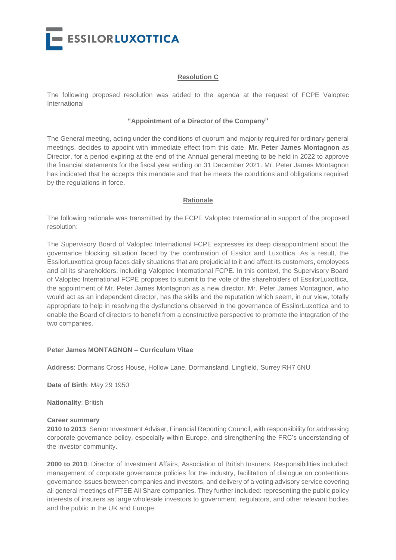

## **Resolution C**

The following proposed resolution was added to the agenda at the request of FCPE Valoptec International

## **"Appointment of a Director of the Company"**

The General meeting, acting under the conditions of quorum and majority required for ordinary general meetings, decides to appoint with immediate effect from this date, **Mr. Peter James Montagnon** as Director, for a period expiring at the end of the Annual general meeting to be held in 2022 to approve the financial statements for the fiscal year ending on 31 December 2021. Mr. Peter James Montagnon has indicated that he accepts this mandate and that he meets the conditions and obligations required by the regulations in force.

## **Rationale**

The following rationale was transmitted by the FCPE Valoptec International in support of the proposed resolution:

The Supervisory Board of Valoptec International FCPE expresses its deep disappointment about the governance blocking situation faced by the combination of Essilor and Luxottica. As a result, the EssilorLuxottica group faces daily situations that are prejudicial to it and affect its customers, employees and all its shareholders, including Valoptec International FCPE. In this context, the Supervisory Board of Valoptec International FCPE proposes to submit to the vote of the shareholders of EssilorLuxottica, the appointment of Mr. Peter James Montagnon as a new director. Mr. Peter James Montagnon, who would act as an independent director, has the skills and the reputation which seem, in our view, totally appropriate to help in resolving the dysfunctions observed in the governance of EssilorLuxottica and to enable the Board of directors to benefit from a constructive perspective to promote the integration of the two companies.

## **Peter James MONTAGNON – Curriculum Vitae**

**Address**: Dormans Cross House, Hollow Lane, Dormansland, Lingfield, Surrey RH7 6NU

**Date of Birth**: May 29 1950

**Nationality**: British

#### **Career summary**

**2010 to 2013**: Senior Investment Adviser, Financial Reporting Council, with responsibility for addressing corporate governance policy, especially within Europe, and strengthening the FRC's understanding of the investor community.

**2000 to 2010**: Director of Investment Affairs, Association of British Insurers. Responsibilities included: management of corporate governance policies for the industry, facilitation of dialogue on contentious governance issues between companies and investors, and delivery of a voting advisory service covering all general meetings of FTSE All Share companies. They further included: representing the public policy interests of insurers as large wholesale investors to government, regulators, and other relevant bodies and the public in the UK and Europe.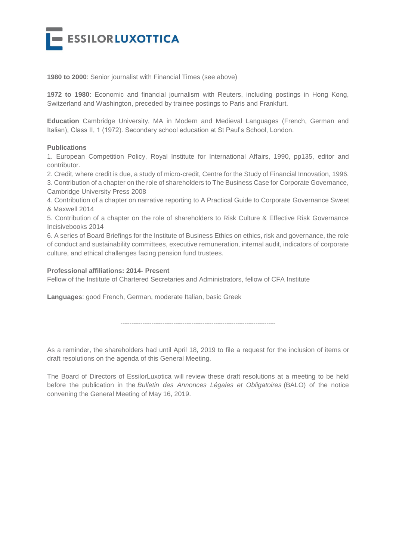

**1980 to 2000**: Senior journalist with Financial Times (see above)

**1972 to 1980**: Economic and financial journalism with Reuters, including postings in Hong Kong, Switzerland and Washington, preceded by trainee postings to Paris and Frankfurt.

**Education** Cambridge University, MA in Modern and Medieval Languages (French, German and Italian), Class II, 1 (1972). Secondary school education at St Paul's School, London.

#### **Publications**

1. European Competition Policy, Royal Institute for International Affairs, 1990, pp135, editor and contributor.

2. Credit, where credit is due, a study of micro-credit, Centre for the Study of Financial Innovation, 1996.

3. Contribution of a chapter on the role of shareholders to The Business Case for Corporate Governance, Cambridge University Press 2008

4. Contribution of a chapter on narrative reporting to A Practical Guide to Corporate Governance Sweet & Maxwell 2014

5. Contribution of a chapter on the role of shareholders to Risk Culture & Effective Risk Governance Incisivebooks 2014

6. A series of Board Briefings for the Institute of Business Ethics on ethics, risk and governance, the role of conduct and sustainability committees, executive remuneration, internal audit, indicators of corporate culture, and ethical challenges facing pension fund trustees.

#### **Professional affiliations: 2014- Present**

Fellow of the Institute of Chartered Secretaries and Administrators, fellow of CFA Institute

**Languages**: good French, German, moderate Italian, basic Greek

----------------------------------------------------------------------

As a reminder, the shareholders had until April 18, 2019 to file a request for the inclusion of items or draft resolutions on the agenda of this General Meeting.

The Board of Directors of EssilorLuxotica will review these draft resolutions at a meeting to be held before the publication in the *Bulletin des Annonces Légales et Obligatoires* (BALO) of the notice convening the General Meeting of May 16, 2019.